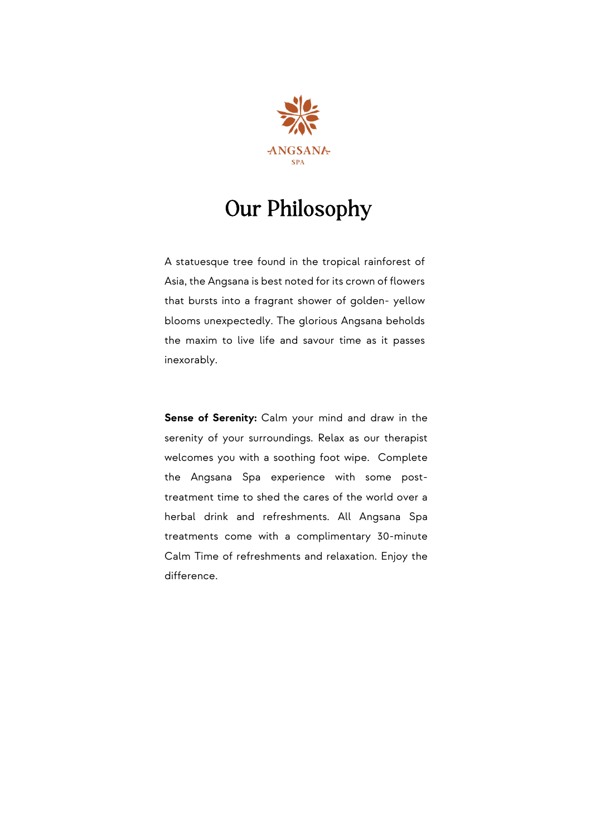

## Our Philosophy

A statuesque tree found in the tropical rainforest of Asia, the Angsana is best noted for its crown of flowers that bursts into a fragrant shower of golden- yellow blooms unexpectedly. The glorious Angsana beholds the maxim to live life and savour time as it passes inexorably.

**Sense of Serenity:** Calm your mind and draw in the serenity of your surroundings. Relax as our therapist welcomes you with a soothing foot wipe. Complete the Angsana Spa experience with some posttreatment time to shed the cares of the world over a herbal drink and refreshments. All Angsana Spa treatments come with a complimentary 30-minute Calm Time of refreshments and relaxation. Enjoy the difference.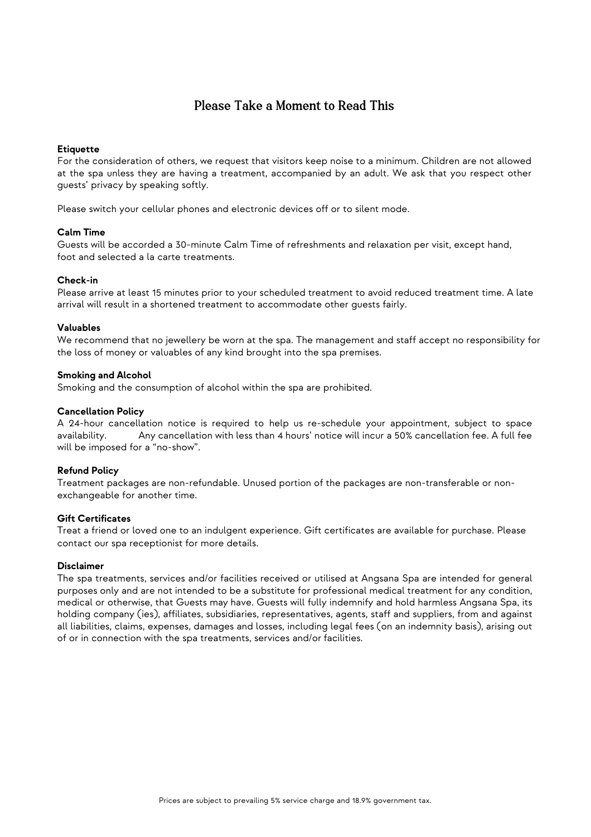#### Please Take a Moment to Read This

#### **Etiquette**

For the consideration of others, we request that visitors keep noise to a minimum. Children are not allowed at the spa unless they are having a treatment, accompanied by an adult. We ask that you respect other guests' privacy by speaking softly.

Please switch your cellular phones and electronic devices off or to silent mode.

#### **Calm Time**

Guests will be accorded a 30-minute Calm Time of refreshments and relaxation per visit, except hand, foot and selected a la carte treatments.

#### **Check-in**

Please arrive at least 15 minutes prior to your scheduled treatment to avoid reduced treatment time. A late arrival will result in a shortened treatment to accommodate other guests fairly.

#### **Valuables**

We recommend that no jewellery be worn at the spa. The management and staff accept no responsibility for the loss of money or valuables of any kind brought into the spa premises.

#### **Smoking and Alcohol**

Smoking and the consumption of alcohol within the spa are prohibited.

#### **Cancellation Policy**

A 24-hour cancellation notice is required to help us re-schedule your appointment, subject to space availability. Any cancellation with less than 4 hours' notice will incur a 50% cancellation fee. A full fee will be imposed for a "no-show".

#### **Refund Policy**

Treatment packages are non-refundable. Unused portion of the packages are non-transferable or nonexchangeable for another time.

#### **Gift Certificates**

Treat a friend or loved one to an indulgent experience. Gift certificates are available for purchase. Please contact our spa receptionist for more details.

#### **Disclaimer**

The spa treatments, services and/or facilities received or utilised at Angsana Spa are intended for general purposes only and are not intended to be a substitute for professional medical treatment for any condition, medical or otherwise, that Guests may have. Guests will fully indemnify and hold harmless Angsana Spa, its holding company (ies), affiliates, subsidiaries, representatives, agents, staff and suppliers, from and against all liabilities, claims, expenses, damages and losses, including legal fees (on an indemnity basis), arising out of or in connection with the spa treatments, services and/or facilities.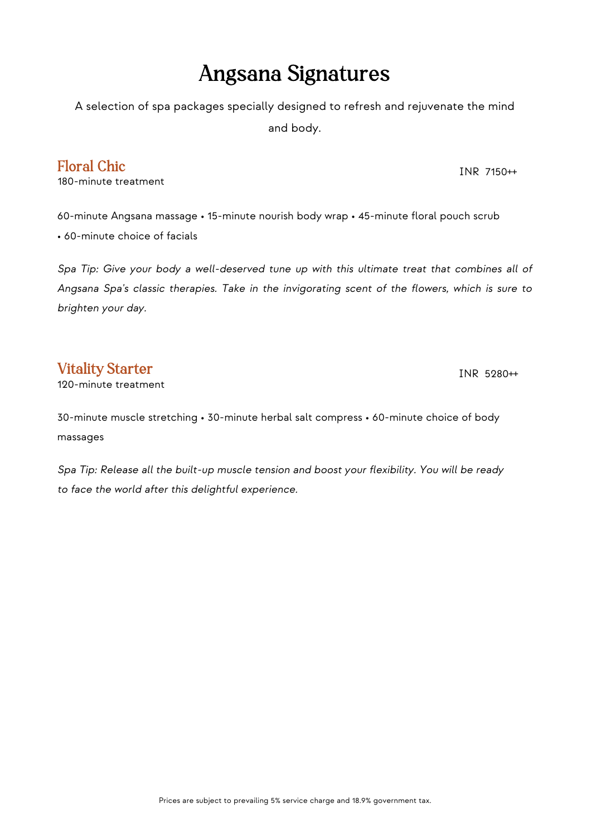### Angsana Signatures

A selection of spa packages specially designed to refresh and rejuvenate the mind

and body.

### Floral Chic

180-minute treatment

60-minute Angsana massage • 15-minute nourish body wrap • 45-minute floral pouch scrub • 60-minute choice of facials

*Spa Tip: Give your body a well-deserved tune up with this ultimate treat that combines all of Angsana Spa's classic therapies. Take in the invigorating scent of the flowers, which is sure to brighten your day.*

### Vitality Starter

120-minute treatment

30-minute muscle stretching • 30-minute herbal salt compress • 60-minute choice of body massages

*Spa Tip: Release all the built-up muscle tension and boost your flexibility. You will be ready to face the world after this delightful experience.*

INR 7150++

INR 5280++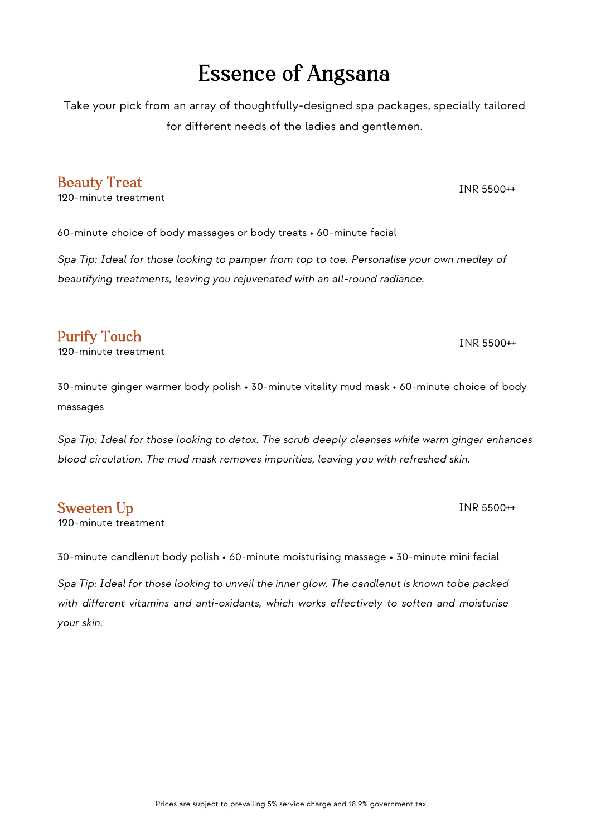## Essence of Angsana

Take your pick from an array of thoughtfully-designed spa packages, specially tailored for different needs of the ladies and gentlemen.

#### Beauty Treat

120-minute treatment

60-minute choice of body massages or body treats • 60-minute facial

*Spa Tip: Ideal for those looking to pamper from top to toe. Personalise your own medley of beautifying treatments, leaving you rejuvenated with an all-round radiance.*

### Purify Touch

120-minute treatment

30-minute ginger warmer body polish • 30-minute vitality mud mask • 60-minute choice of body massages

*Spa Tip: Ideal for those looking to detox. The scrub deeply cleanses while warm ginger enhances blood circulation. The mud mask removes impurities, leaving you with refreshed skin.*

#### Sweeten Up

120-minute treatment

30-minute candlenut body polish • 60-minute moisturising massage • 30-minute mini facial

*Spa Tip: Ideal for those looking to unveil the inner glow. The candlenut is known tobe packed with different vitamins and anti-oxidants, which works effectively to soften and moisturise your skin.*

INR 5500++

INR 5500++

INR 5500++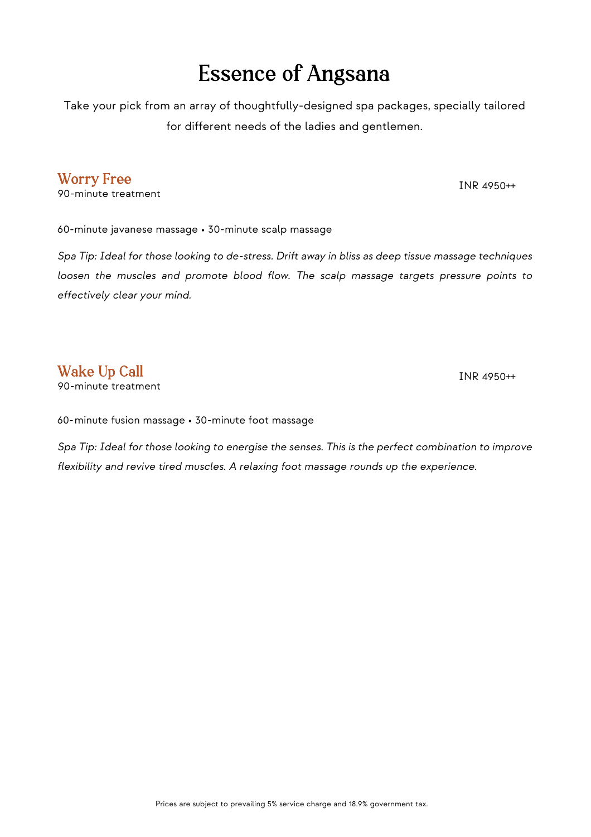## Essence of Angsana

Take your pick from an array of thoughtfully-designed spa packages, specially tailored for different needs of the ladies and gentlemen.

#### Worry Free

90-minute treatment

INR 4950++

60-minute javanese massage • 30-minute scalp massage

*Spa Tip: Ideal for those looking to de-stress. Drift away in bliss as deep tissue massage techniques loosen the muscles and promote blood flow. The scalp massage targets pressure points to effectively clear your mind.*

#### Wake Up Call

90-minute treatment

INR 4950++

60-minute fusion massage • 30-minute foot massage

*Spa Tip: Ideal for those looking to energise the senses. This is the perfect combination to improve flexibility and revive tired muscles. A relaxing foot massage rounds up the experience.*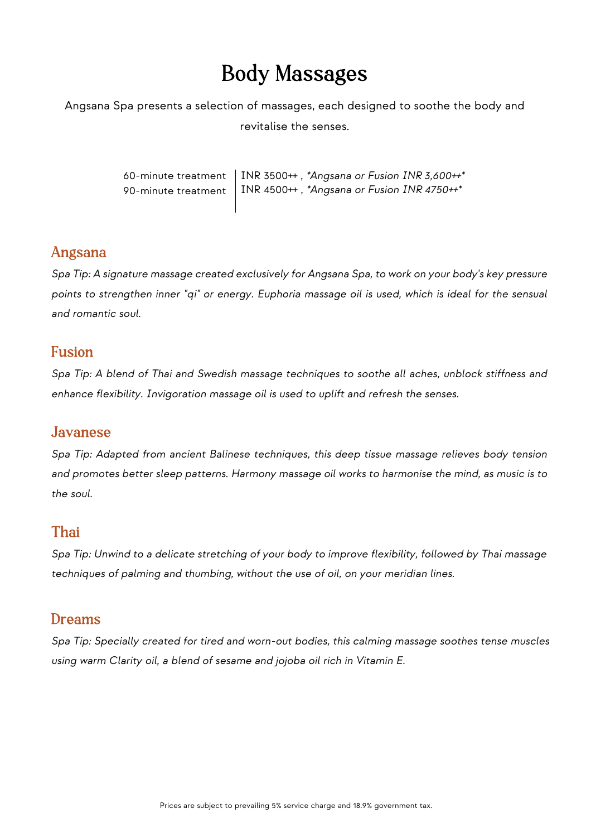## Body Massages

Angsana Spa presents a selection of massages, each designed to soothe the body and revitalise the senses.

> 60-minute treatment 90-minute treatment INR 3500++ , *\*Angsana or Fusion INR 3,600++\** INR 4500++ , *\*Angsana or Fusion INR 4750++\**

#### Angsana

*Spa Tip: A signature massage created exclusively for Angsana Spa, to work on your body's key pressure points to strengthen inner "qi" or energy. Euphoria massage oil is used, which is ideal for the sensual and romantic soul.*

#### Fusion

*Spa Tip: A blend of Thai and Swedish massage techniques to soothe all aches, unblock stiffness and enhance flexibility. Invigoration massage oil is used to uplift and refresh the senses.*

#### Javanese

*Spa Tip: Adapted from ancient Balinese techniques, this deep tissue massage relieves body tension and promotes better sleep patterns. Harmony massage oil works to harmonise the mind, as music is to the soul.*

### Thai

*Spa Tip: Unwind to a delicate stretching of your body to improve flexibility, followed by Thai massage techniques of palming and thumbing, without the use of oil, on your meridian lines.*

#### Dreams

*Spa Tip: Specially created for tired and worn-out bodies, this calming massage soothes tense muscles using warm Clarity oil, a blend of sesame and jojoba oil rich in Vitamin E.*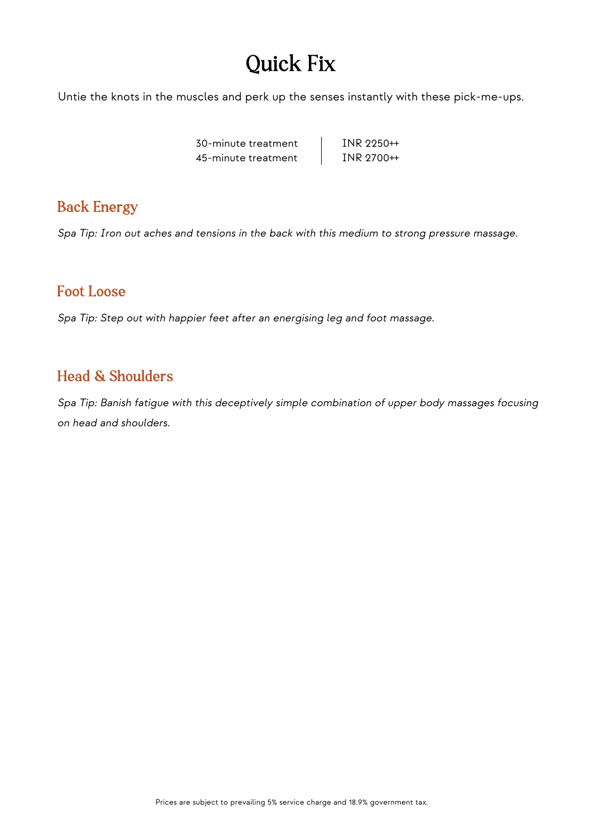## Quick Fix

Untie the knots in the muscles and perk up the senses instantly with these pick-me-ups.

30-minute treatment 45-minute treatment

INR 2250++ INR 2700++

### Back Energy

*Spa Tip: Iron out aches and tensions in the back with this medium to strong pressure massage.*

### Foot Loose

*Spa Tip: Step out with happier feet after an energising leg and foot massage.*

### Head & Shoulders

*Spa Tip: Banish fatigue with this deceptively simple combination of upper body massages focusing on head and shoulders.*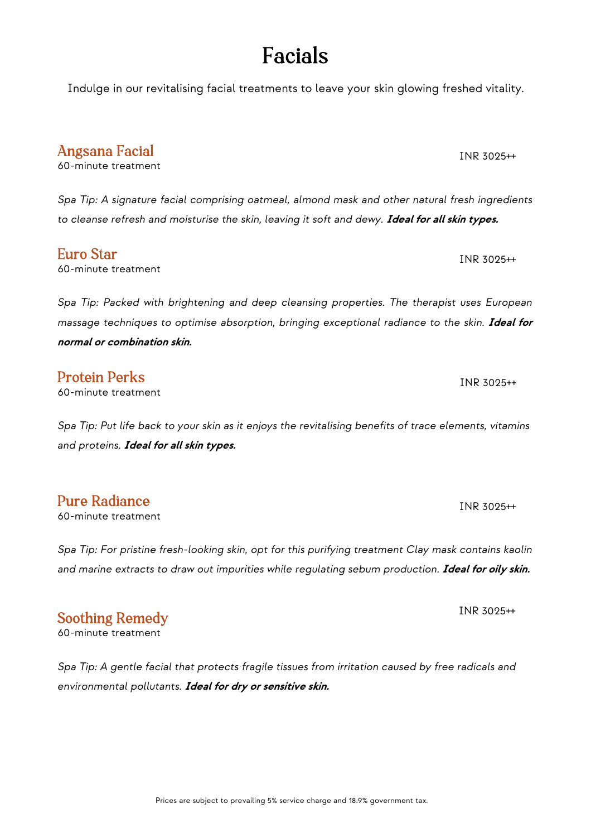## Facials

Indulge in our revitalising facial treatments to leave your skin glowing freshed vitality.

*Spa Tip: A signature facial comprising oatmeal, almond mask and other natural fresh ingredients*  to cleanse refresh and moisturise the skin, leaving it soft and dewy. **Ideal for all skin types.** 

60-minute treatment INR 3025++

*Spa Tip: Packed with brightening and deep cleansing properties. The therapist uses European massage techniques to optimise absorption, bringing exceptional radiance to the skin.* **Ideal for normal or combination skin.**

### Protein Perks

Angsana Facial 60-minute treatment

Euro Star

60-minute treatment

*Spa Tip: Put life back to your skin as it enjoys the revitalising benefits of trace elements, vitamins and proteins.* **Ideal for all skin types.**

### Pure Radiance

60-minute treatment

*Spa Tip: For pristine fresh-looking skin, opt for this purifying treatment Clay mask contains kaolin*  and marine extracts to draw out impurities while regulating sebum production. Ideal for oily skin.

### Soothing Remedy

60-minute treatment

*Spa Tip: A gentle facial that protects fragile tissues from irritation caused by free radicals and environmental pollutants.* **Ideal for dry or sensitive skin.**

INR 3025++

INR 3025++

INR 3025++

INR 3025++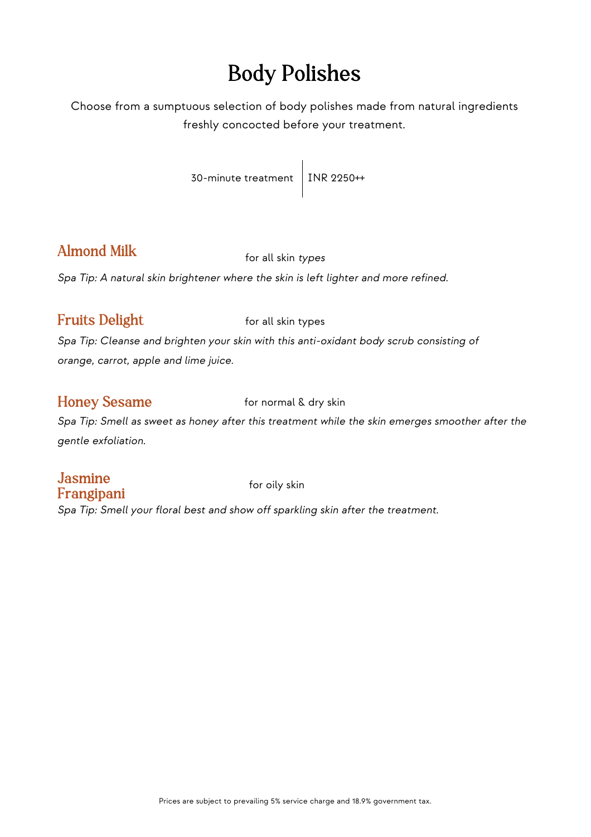## Body Polishes

Choose from a sumptuous selection of body polishes made from natural ingredients freshly concocted before your treatment.

30-minute treatment | INR 2250++

### Almond Milk for all skin *types*

*Spa Tip: A natural skin brightener where the skin is left lighter and more refined.*

#### Fruits Delight for all skin types

*Spa Tip: Cleanse and brighten your skin with this anti-oxidant body scrub consisting of orange, carrot, apple and lime juice.*

#### Honey Sesame for normal & dry skin

*Spa Tip: Smell as sweet as honey after this treatment while the skin emerges smoother after the gentle exfoliation.*

# Jasmine **Frangipani** for oily skin

*Spa Tip: Smell your floral best and show off sparkling skin after the treatment.*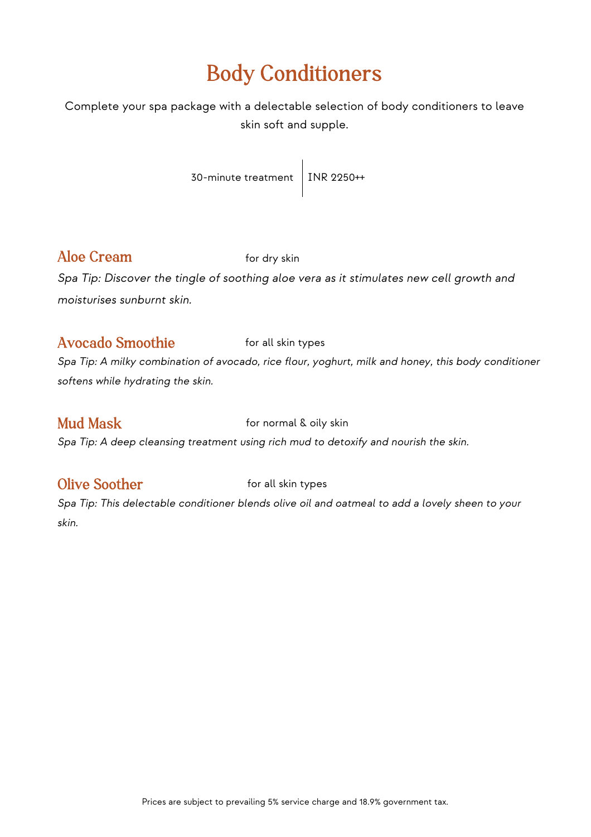## Body Conditioners

Complete your spa package with a delectable selection of body conditioners to leave skin soft and supple.

30-minute treatment | INR 2250++

### Aloe Cream for dry skin

*Spa Tip: Discover the tingle of soothing aloe vera as it stimulates new cell growth and moisturises sunburnt skin.*

### Avocado Smoothie for all skin types

*Spa Tip: A milky combination of avocado, rice flour, yoghurt, milk and honey, this body conditioner softens while hydrating the skin.*

Mud Mask **Mud Mask for normal & oily skin** 

*Spa Tip: A deep cleansing treatment using rich mud to detoxify and nourish the skin.*

#### Olive Soother **for all skin types**

*Spa Tip: This delectable conditioner blends olive oil and oatmeal to add a lovely sheen to your skin.*